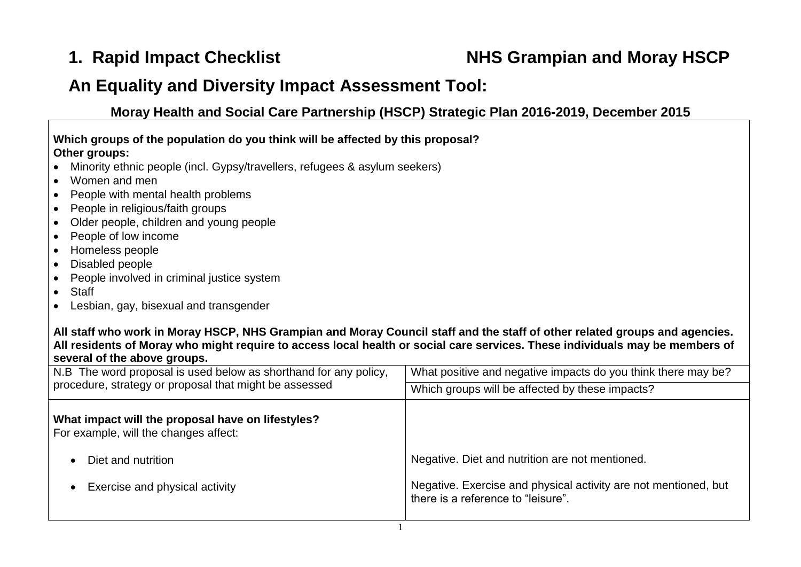## **1. Rapid Impact Checklist NHS Grampian and Moray HSCP**

## **An Equality and Diversity Impact Assessment Tool:**

**Moray Health and Social Care Partnership (HSCP) Strategic Plan 2016-2019, December 2015**

| Which groups of the population do you think will be affected by this proposal?                        |  |
|-------------------------------------------------------------------------------------------------------|--|
| Other groups:<br>$\bullet$ Minority ethnic people (incl. Gypsy/travellers, refugees & asylum seekers) |  |
| $\bullet$ Women and men                                                                               |  |

- People with mental health problems
- People in religious/faith groups
- Older people, children and young people
- People of low income
- Homeless people
- Disabled people
- People involved in criminal justice system
- Staff
- Lesbian, gay, bisexual and transgender

## **All staff who work in Moray HSCP, NHS Grampian and Moray Council staff and the staff of other related groups and agencies. All residents of Moray who might require to access local health or social care services. These individuals may be members of several of the above groups.**

| N.B The word proposal is used below as shorthand for any policy,                           | What positive and negative impacts do you think there may be?                                         |
|--------------------------------------------------------------------------------------------|-------------------------------------------------------------------------------------------------------|
| procedure, strategy or proposal that might be assessed                                     | Which groups will be affected by these impacts?                                                       |
| What impact will the proposal have on lifestyles?<br>For example, will the changes affect: |                                                                                                       |
| Diet and nutrition                                                                         | Negative. Diet and nutrition are not mentioned.                                                       |
| Exercise and physical activity                                                             | Negative. Exercise and physical activity are not mentioned, but<br>there is a reference to "leisure". |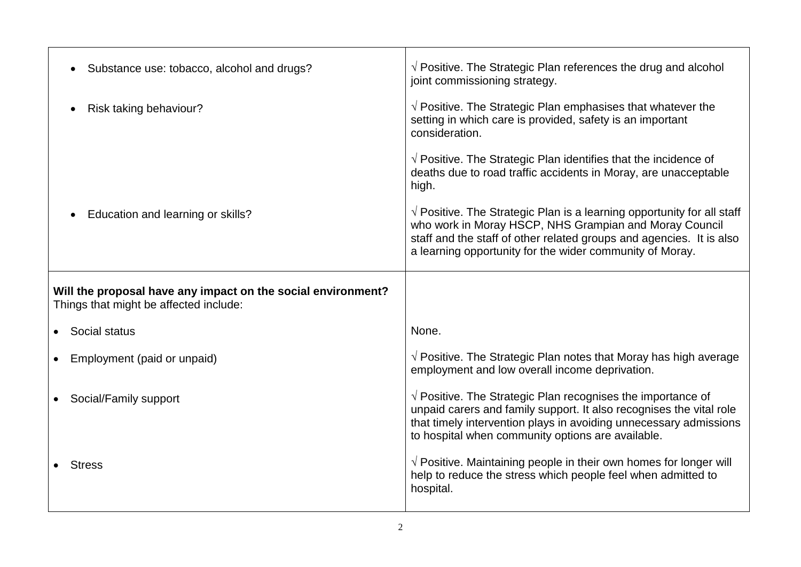| Substance use: tobacco, alcohol and drugs?                                                             | $\sqrt{ }$ Positive. The Strategic Plan references the drug and alcohol<br>joint commissioning strategy.                                                                                                                                                                      |
|--------------------------------------------------------------------------------------------------------|-------------------------------------------------------------------------------------------------------------------------------------------------------------------------------------------------------------------------------------------------------------------------------|
| Risk taking behaviour?                                                                                 | $\sqrt{ }$ Positive. The Strategic Plan emphasises that whatever the<br>setting in which care is provided, safety is an important<br>consideration.                                                                                                                           |
|                                                                                                        | $\sqrt{ }$ Positive. The Strategic Plan identifies that the incidence of<br>deaths due to road traffic accidents in Moray, are unacceptable<br>high.                                                                                                                          |
| Education and learning or skills?                                                                      | $\sqrt{ }$ Positive. The Strategic Plan is a learning opportunity for all staff<br>who work in Moray HSCP, NHS Grampian and Moray Council<br>staff and the staff of other related groups and agencies. It is also<br>a learning opportunity for the wider community of Moray. |
|                                                                                                        |                                                                                                                                                                                                                                                                               |
| Will the proposal have any impact on the social environment?<br>Things that might be affected include: |                                                                                                                                                                                                                                                                               |
| Social status                                                                                          | None.                                                                                                                                                                                                                                                                         |
| Employment (paid or unpaid)                                                                            | $\sqrt{ }$ Positive. The Strategic Plan notes that Moray has high average<br>employment and low overall income deprivation.                                                                                                                                                   |
| Social/Family support                                                                                  | $\sqrt{ }$ Positive. The Strategic Plan recognises the importance of<br>unpaid carers and family support. It also recognises the vital role<br>that timely intervention plays in avoiding unnecessary admissions<br>to hospital when community options are available.         |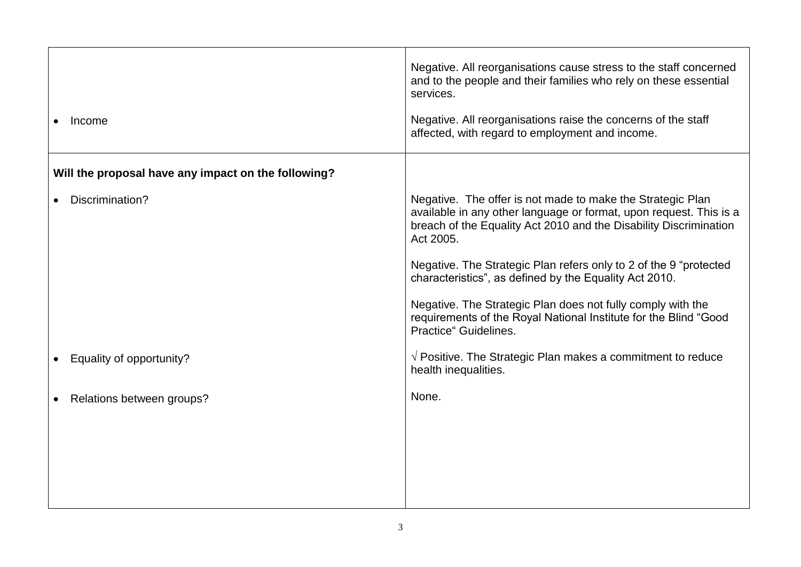| Income                                              | Negative. All reorganisations cause stress to the staff concerned<br>and to the people and their families who rely on these essential<br>services.<br>Negative. All reorganisations raise the concerns of the staff<br>affected, with regard to employment and income. |
|-----------------------------------------------------|------------------------------------------------------------------------------------------------------------------------------------------------------------------------------------------------------------------------------------------------------------------------|
| Will the proposal have any impact on the following? |                                                                                                                                                                                                                                                                        |
| Discrimination?                                     | Negative. The offer is not made to make the Strategic Plan<br>available in any other language or format, upon request. This is a<br>breach of the Equality Act 2010 and the Disability Discrimination<br>Act 2005.                                                     |
|                                                     | Negative. The Strategic Plan refers only to 2 of the 9 "protected"<br>characteristics", as defined by the Equality Act 2010.                                                                                                                                           |
|                                                     | Negative. The Strategic Plan does not fully comply with the<br>requirements of the Royal National Institute for the Blind "Good<br>Practice" Guidelines.                                                                                                               |
| Equality of opportunity?                            | $\sqrt{ }$ Positive. The Strategic Plan makes a commitment to reduce<br>health inequalities.                                                                                                                                                                           |
| Relations between groups?                           | None.                                                                                                                                                                                                                                                                  |
|                                                     |                                                                                                                                                                                                                                                                        |
|                                                     |                                                                                                                                                                                                                                                                        |
|                                                     |                                                                                                                                                                                                                                                                        |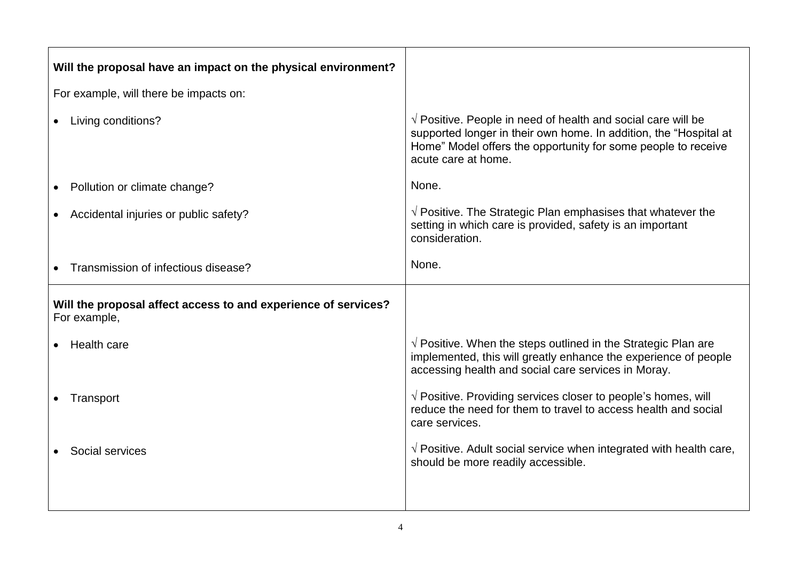| Will the proposal have an impact on the physical environment?                  |                                                                                                                                                                                                                                    |
|--------------------------------------------------------------------------------|------------------------------------------------------------------------------------------------------------------------------------------------------------------------------------------------------------------------------------|
| For example, will there be impacts on:                                         |                                                                                                                                                                                                                                    |
| Living conditions?                                                             | $\sqrt{ }$ Positive. People in need of health and social care will be<br>supported longer in their own home. In addition, the "Hospital at<br>Home" Model offers the opportunity for some people to receive<br>acute care at home. |
| Pollution or climate change?                                                   | None.                                                                                                                                                                                                                              |
| Accidental injuries or public safety?                                          | $\sqrt{ }$ Positive. The Strategic Plan emphasises that whatever the<br>setting in which care is provided, safety is an important<br>consideration.                                                                                |
| Transmission of infectious disease?                                            | None.                                                                                                                                                                                                                              |
| Will the proposal affect access to and experience of services?<br>For example, |                                                                                                                                                                                                                                    |
| Health care                                                                    | $\sqrt{ }$ Positive. When the steps outlined in the Strategic Plan are<br>implemented, this will greatly enhance the experience of people<br>accessing health and social care services in Moray.                                   |
| Transport                                                                      | $\sqrt{ }$ Positive. Providing services closer to people's homes, will<br>reduce the need for them to travel to access health and social<br>care services.                                                                         |
| Social services                                                                | $\sqrt{ }$ Positive. Adult social service when integrated with health care,<br>should be more readily accessible.                                                                                                                  |
|                                                                                |                                                                                                                                                                                                                                    |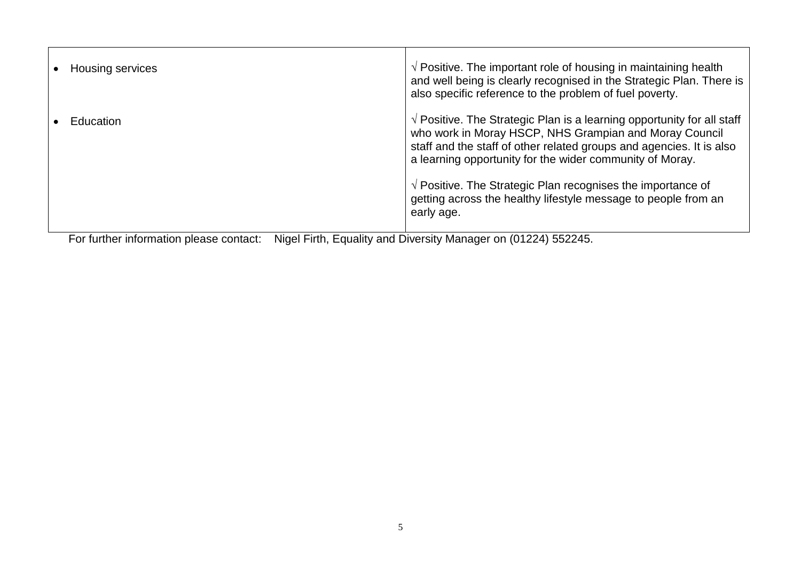| <b>Housing services</b>                 | $\sqrt{2}$ Positive. The important role of housing in maintaining health<br>and well being is clearly recognised in the Strategic Plan. There is<br>also specific reference to the problem of fuel poverty.                                                                                                                                                                                                                           |
|-----------------------------------------|---------------------------------------------------------------------------------------------------------------------------------------------------------------------------------------------------------------------------------------------------------------------------------------------------------------------------------------------------------------------------------------------------------------------------------------|
| <b>Education</b>                        | $\sqrt{ }$ Positive. The Strategic Plan is a learning opportunity for all staff<br>who work in Moray HSCP, NHS Grampian and Moray Council<br>staff and the staff of other related groups and agencies. It is also<br>a learning opportunity for the wider community of Moray.<br>$\sqrt{2}$ Positive. The Strategic Plan recognises the importance of<br>getting across the healthy lifestyle message to people from an<br>early age. |
| For further information please contact: | Nigal Firth Equality and Diversity Manager on (01224) 552245                                                                                                                                                                                                                                                                                                                                                                          |

For further information please contact: Nigel Firth, Equality and Diversity Manager on (01224) 552245.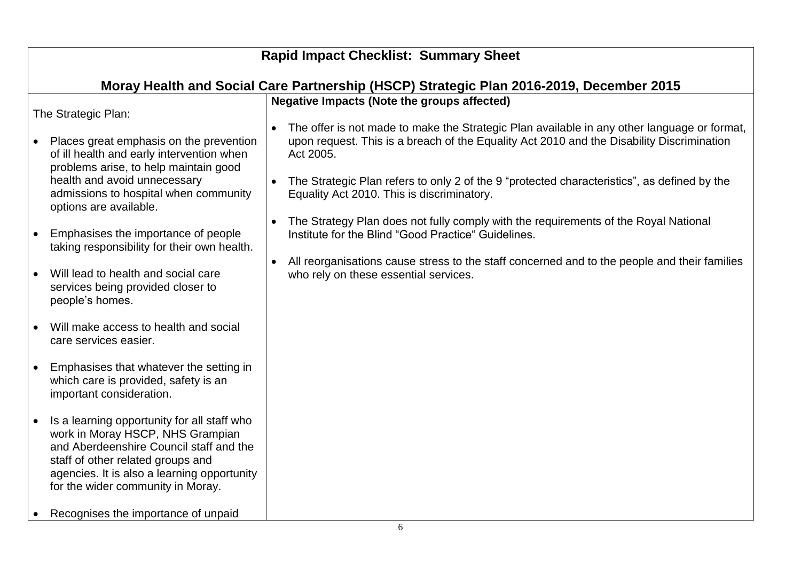| <b>Rapid Impact Checklist: Summary Sheet</b>                                                                                                                                                                                                                                                                                                                                                                                                                                                                                                                                                                                                                                                                                                                                                                                            |                                                                                                                                                                                                                                                                                                                                                                                                                                                                                                                                                                                                                                                                                                                             |  |  |  |  |
|-----------------------------------------------------------------------------------------------------------------------------------------------------------------------------------------------------------------------------------------------------------------------------------------------------------------------------------------------------------------------------------------------------------------------------------------------------------------------------------------------------------------------------------------------------------------------------------------------------------------------------------------------------------------------------------------------------------------------------------------------------------------------------------------------------------------------------------------|-----------------------------------------------------------------------------------------------------------------------------------------------------------------------------------------------------------------------------------------------------------------------------------------------------------------------------------------------------------------------------------------------------------------------------------------------------------------------------------------------------------------------------------------------------------------------------------------------------------------------------------------------------------------------------------------------------------------------------|--|--|--|--|
| Moray Health and Social Care Partnership (HSCP) Strategic Plan 2016-2019, December 2015                                                                                                                                                                                                                                                                                                                                                                                                                                                                                                                                                                                                                                                                                                                                                 |                                                                                                                                                                                                                                                                                                                                                                                                                                                                                                                                                                                                                                                                                                                             |  |  |  |  |
| The Strategic Plan:<br>Places great emphasis on the prevention<br>$\bullet$<br>of ill health and early intervention when<br>problems arise, to help maintain good<br>health and avoid unnecessary<br>admissions to hospital when community<br>options are available.<br>Emphasises the importance of people<br>taking responsibility for their own health.<br>Will lead to health and social care<br>$\bullet$<br>services being provided closer to<br>people's homes.<br>Will make access to health and social<br>care services easier.<br>Emphasises that whatever the setting in<br>which care is provided, safety is an<br>important consideration.<br>Is a learning opportunity for all staff who<br>$\bullet$<br>work in Moray HSCP, NHS Grampian<br>and Aberdeenshire Council staff and the<br>staff of other related groups and | <b>Negative Impacts (Note the groups affected)</b><br>The offer is not made to make the Strategic Plan available in any other language or format,<br>upon request. This is a breach of the Equality Act 2010 and the Disability Discrimination<br>Act 2005.<br>• The Strategic Plan refers to only 2 of the 9 "protected characteristics", as defined by the<br>Equality Act 2010. This is discriminatory.<br>The Strategy Plan does not fully comply with the requirements of the Royal National<br>$\bullet$<br>Institute for the Blind "Good Practice" Guidelines.<br>All reorganisations cause stress to the staff concerned and to the people and their families<br>$\bullet$<br>who rely on these essential services. |  |  |  |  |
| agencies. It is also a learning opportunity<br>for the wider community in Moray.                                                                                                                                                                                                                                                                                                                                                                                                                                                                                                                                                                                                                                                                                                                                                        |                                                                                                                                                                                                                                                                                                                                                                                                                                                                                                                                                                                                                                                                                                                             |  |  |  |  |
| Recognises the importance of unpaid                                                                                                                                                                                                                                                                                                                                                                                                                                                                                                                                                                                                                                                                                                                                                                                                     |                                                                                                                                                                                                                                                                                                                                                                                                                                                                                                                                                                                                                                                                                                                             |  |  |  |  |